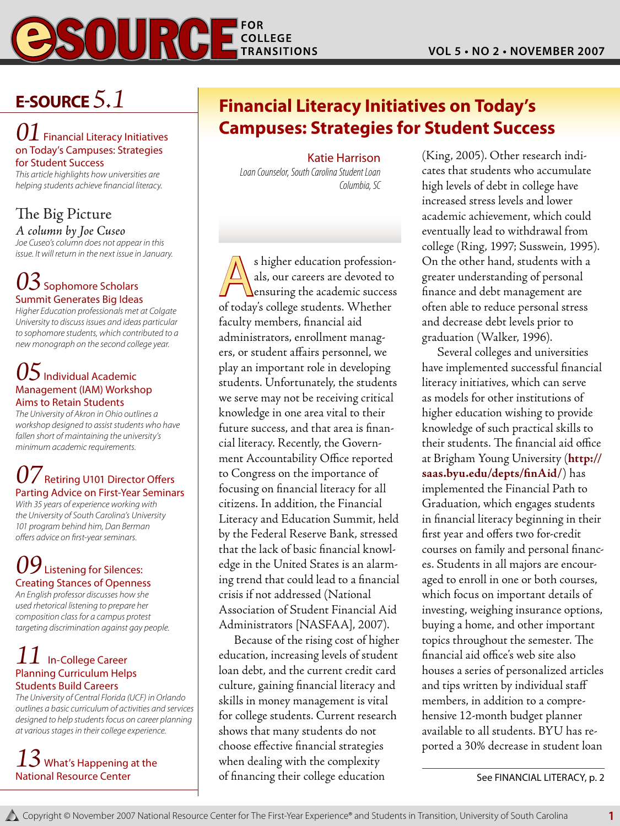

## **E-Source** *5.1*

#### *01* Financial Literacy Initiatives on Today's Campuses: Strategies for Student Success

*This article highlights how universities are helping students achieve financial literacy.*

#### The Big Picture *A column by Joe Cuseo*

*Joe Cuseo's column does not appear in this issue. It will return in the next issue in January.*

### *03* Sophomore Scholars Summit Generates Big Ideas

*Higher Education professionals met at Colgate University to discuss issues and ideas particular to sophomore students, which contributed to a new monograph on the second college year.*

#### *05*Individual Academic Management (IAM) Workshop Aims to Retain Students

*The University of Akron in Ohio outlines a workshop designed to assist students who have fallen short of maintaining the university's minimum academic requirements.*

### **Retiring U101 Director Offers** Parting Advice on First-Year Seminars

*With 35 years of experience working with the University of South Carolina's University 101 program behind him, Dan Berman offers advice on first-year seminars.*

## $09$  Listening for Silences: Creating Stances of Openness

*An English professor discusses how she used rhetorical listening to prepare her composition class for a campus protest targeting discrimination against gay people.*

#### *11* In-College Career Planning Curriculum Helps Students Build Careers

*The University of Central Florida (UCF) in Orlando outlines a basic curriculum of activities and services designed to help students focus on career planning at various stages in their college experience.* 

### *13* What's Happening at the National Resource Center

## **Financial Literacy Initiatives on Today's Campuses: Strategies for Student Success**

#### Katie Harrison

*Loan Counselor, South Carolina Student Loan Columbia, SC*

s higher education profession-<br>als, our careers are devoted to<br>ensuring the academic success als, our careers are devoted to of today's college students. Whether faculty members, financial aid administrators, enrollment managers, or student affairs personnel, we play an important role in developing students. Unfortunately, the students we serve may not be receiving critical knowledge in one area vital to their future success, and that area is financial literacy. Recently, the Government Accountability Office reported to Congress on the importance of focusing on financial literacy for all citizens. In addition, the Financial Literacy and Education Summit, held by the Federal Reserve Bank, stressed that the lack of basic financial knowledge in the United States is an alarming trend that could lead to a financial crisis if not addressed (National Association of Student Financial Aid Administrators [NASFAA], 2007).

Because of the rising cost of higher education, increasing levels of student loan debt, and the current credit card culture, gaining financial literacy and skills in money management is vital for college students. Current research shows that many students do not choose effective financial strategies when dealing with the complexity of financing their college education

(King, 2005). Other research indicates that students who accumulate high levels of debt in college have increased stress levels and lower academic achievement, which could eventually lead to withdrawal from college (Ring, 1997; Susswein, 1995). On the other hand, students with a greater understanding of personal finance and debt management are often able to reduce personal stress and decrease debt levels prior to graduation (Walker, 1996).

Several colleges and universities have implemented successful financial literacy initiatives, which can serve as models for other institutions of higher education wishing to provide knowledge of such practical skills to their students. The financial aid office at Brigham Young University (**http:// saas.byu.edu/depts/finAid/**) has implemented the Financial Path to Graduation, which engages students in financial literacy beginning in their first year and offers two for-credit courses on family and personal finances. Students in all majors are encouraged to enroll in one or both courses, which focus on important details of investing, weighing insurance options, buying a home, and other important topics throughout the semester. The financial aid office's web site also houses a series of personalized articles and tips written by individual staff members, in addition to a comprehensive 12-month budget planner available to all students. BYU has reported a 30% decrease in student loan

See FINANCIAL LITERACY, p. 2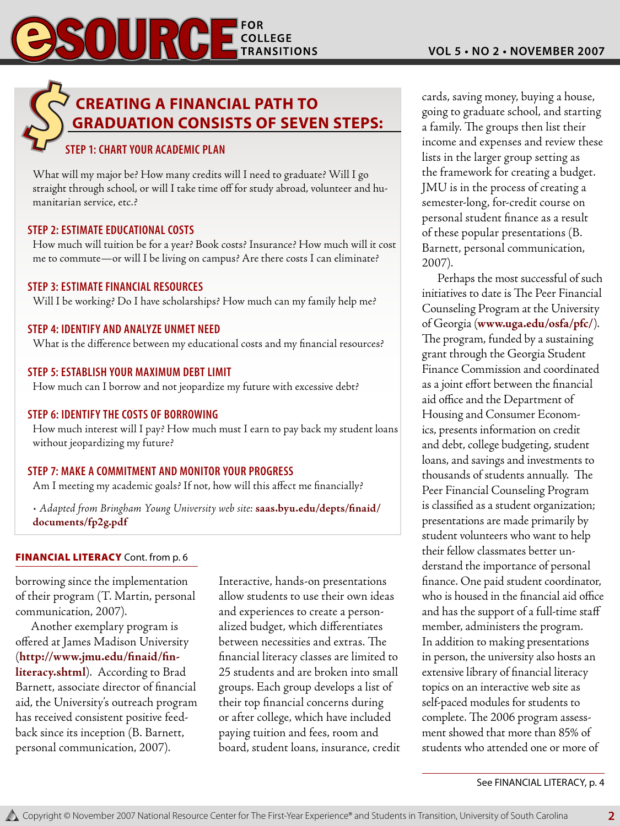## **Creating a Financial Path to Graduation consists of seven steps:**

#### **Step 1: Chart Your Academic Plan**

What will my major be? How many credits will I need to graduate? Will I go straight through school, or will I take time off for study abroad, volunteer and humanitarian service, etc.?

#### **Step 2: Estimate Educational Costs**

How much will tuition be for a year? Book costs? Insurance? How much will it cost me to commute—or will I be living on campus? Are there costs I can eliminate?

#### **Step 3: Estimate Financial Resources**

Will I be working? Do I have scholarships? How much can my family help me?

#### **Step 4: Identify and Analyze Unmet Need**

What is the difference between my educational costs and my financial resources?

#### **Step 5: Establish Your Maximum Debt Limit**

How much can I borrow and not jeopardize my future with excessive debt?

#### **Step 6: Identify the Costs of Borrowing**

How much interest will I pay? How much must I earn to pay back my student loans without jeopardizing my future?

#### **Step 7: Make a Commitment and Monitor Your Progress**

Am I meeting my academic goals? If not, how will this affect me financially?

*• Adapted from Bringham Young University web site:* **saas.byu.edu/depts/finaid/ documents/fp2g.pdf**

#### **FINANCIAL LITERACY** Cont. from p. 6

borrowing since the implementation of their program (T. Martin, personal communication, 2007).

Another exemplary program is offered at James Madison University (**http://www.jmu.edu/finaid/finliteracy.shtml**). According to Brad Barnett, associate director of financial aid, the University's outreach program has received consistent positive feedback since its inception (B. Barnett, personal communication, 2007).

Interactive, hands-on presentations allow students to use their own ideas and experiences to create a personalized budget, which differentiates between necessities and extras. The financial literacy classes are limited to 25 students and are broken into small groups. Each group develops a list of their top financial concerns during or after college, which have included paying tuition and fees, room and board, student loans, insurance, credit cards, saving money, buying a house, going to graduate school, and starting a family. The groups then list their income and expenses and review these lists in the larger group setting as the framework for creating a budget. JMU is in the process of creating a semester-long, for-credit course on personal student finance as a result of these popular presentations (B. Barnett, personal communication, 2007).

Perhaps the most successful of such initiatives to date is The Peer Financial Counseling Program at the University of Georgia (**www.uga.edu/osfa/pfc/**). The program, funded by a sustaining grant through the Georgia Student Finance Commission and coordinated as a joint effort between the financial aid office and the Department of Housing and Consumer Economics, presents information on credit and debt, college budgeting, student loans, and savings and investments to thousands of students annually. The Peer Financial Counseling Program is classified as a student organization; presentations are made primarily by student volunteers who want to help their fellow classmates better understand the importance of personal finance. One paid student coordinator, who is housed in the financial aid office and has the support of a full-time staff member, administers the program. In addition to making presentations in person, the university also hosts an extensive library of financial literacy topics on an interactive web site as self-paced modules for students to complete. The 2006 program assessment showed that more than 85% of students who attended one or more of

See FINANCIAL LITERACY, p. 4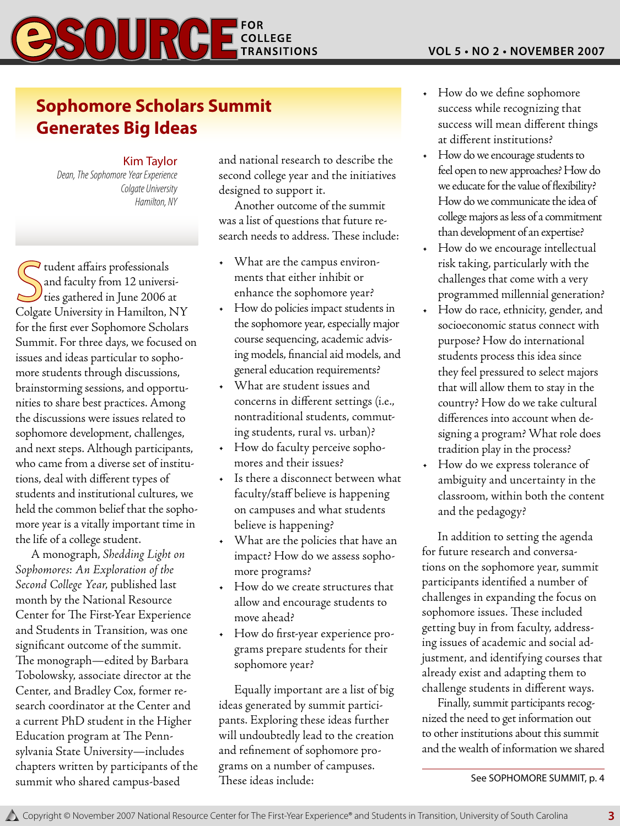## $SOUI$   $C$   $E_{\text{transitions}}^{\text{for}}$

## **Sophomore Scholars Summit Generates Big Ideas**

#### Kim Taylor

*Dean, The Sophomore Year Experience Colgate University Hamilton, NY*

Gudent affairs professionals<br>
and faculty from 12 universi-<br>
colgate University in Hamilton, NY I tudent affairs professionals and faculty from 12 universities gathered in June 2006 at for the first ever Sophomore Scholars Summit. For three days, we focused on issues and ideas particular to sophomore students through discussions, brainstorming sessions, and opportunities to share best practices. Among the discussions were issues related to sophomore development, challenges, and next steps. Although participants, who came from a diverse set of institutions, deal with different types of students and institutional cultures, we held the common belief that the sophomore year is a vitally important time in the life of a college student.

A monograph, *Shedding Light on Sophomores: An Exploration of the Second College Year*, published last month by the National Resource Center for The First-Year Experience and Students in Transition, was one significant outcome of the summit. The monograph—edited by Barbara Tobolowsky, associate director at the Center, and Bradley Cox, former research coordinator at the Center and a current PhD student in the Higher Education program at The Pennsylvania State University—includes chapters written by participants of the summit who shared campus-based

and national research to describe the second college year and the initiatives designed to support it.

Another outcome of the summit was a list of questions that future research needs to address. These include:

- • What are the campus environments that either inhibit or enhance the sophomore year?
- • How do policies impact students in the sophomore year, especially major course sequencing, academic advising models, financial aid models, and general education requirements?
- What are student issues and concerns in different settings (i.e., nontraditional students, commuting students, rural vs. urban)?
- • How do faculty perceive sophomores and their issues?
- • Is there a disconnect between what faculty/staff believe is happening on campuses and what students believe is happening?
- What are the policies that have an impact? How do we assess sophomore programs?
- • How do we create structures that allow and encourage students to move ahead?
- • How do first-year experience programs prepare students for their sophomore year?

Equally important are a list of big ideas generated by summit participants. Exploring these ideas further will undoubtedly lead to the creation and refinement of sophomore programs on a number of campuses. These ideas include:

- • How do we define sophomore success while recognizing that success will mean different things at different institutions?
- How do we encourage students to feel open to new approaches? How do we educate for the value of flexibility? How do we communicate the idea of college majors as less of a commitment than development of an expertise?
- • How do we encourage intellectual risk taking, particularly with the challenges that come with a very programmed millennial generation?
- • How do race, ethnicity, gender, and socioeconomic status connect with purpose? How do international students process this idea since they feel pressured to select majors that will allow them to stay in the country? How do we take cultural differences into account when designing a program? What role does tradition play in the process?
- • How do we express tolerance of ambiguity and uncertainty in the classroom, within both the content and the pedagogy?

In addition to setting the agenda for future research and conversations on the sophomore year, summit participants identified a number of challenges in expanding the focus on sophomore issues. These included getting buy in from faculty, addressing issues of academic and social adjustment, and identifying courses that already exist and adapting them to challenge students in different ways.

Finally, summit participants recognized the need to get information out to other institutions about this summit and the wealth of information we shared

See SOPHOMORE SUMMIT, p. 4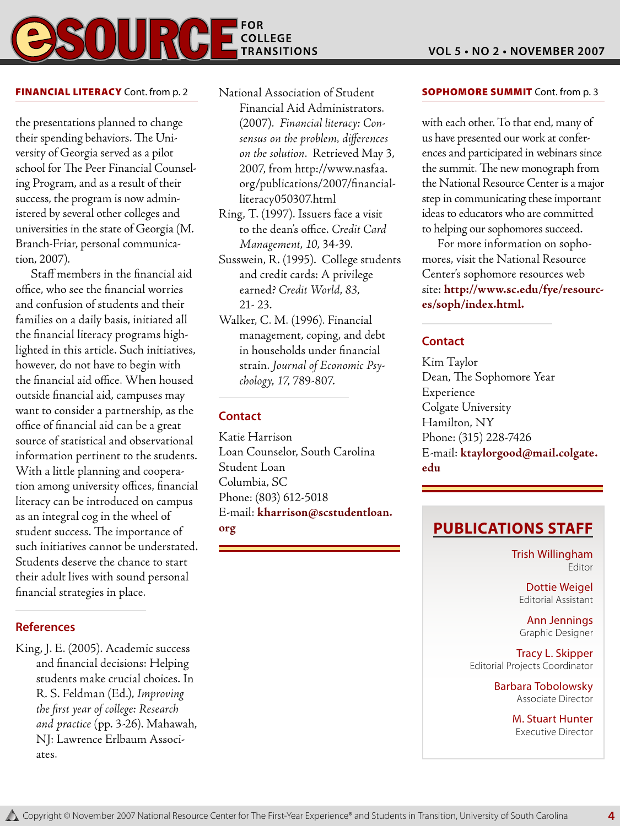### **FOR COLLEGE TRANSITIONS**

#### FINANCIAL LITERACY Cont. from p. 2

the presentations planned to change their spending behaviors. The University of Georgia served as a pilot school for The Peer Financial Counseling Program, and as a result of their success, the program is now administered by several other colleges and universities in the state of Georgia (M. Branch-Friar, personal communication, 2007).

Staff members in the financial aid office, who see the financial worries and confusion of students and their families on a daily basis, initiated all the financial literacy programs highlighted in this article. Such initiatives, however, do not have to begin with the financial aid office. When housed outside financial aid, campuses may want to consider a partnership, as the office of financial aid can be a great source of statistical and observational information pertinent to the students. With a little planning and cooperation among university offices, financial literacy can be introduced on campus as an integral cog in the wheel of student success. The importance of such initiatives cannot be understated. Students deserve the chance to start their adult lives with sound personal financial strategies in place.

#### **References**

King, J. E. (2005). Academic success and financial decisions: Helping students make crucial choices. In R. S. Feldman (Ed.), *Improving the first year of college: Research and practice* (pp. 3-26). Mahawah, NJ: Lawrence Erlbaum Associates.

National Association of Student Financial Aid Administrators. (2007). *Financial literacy: Consensus on the problem, differences on the solution*. Retrieved May 3, 2007, from http://www.nasfaa. org/publications/2007/financialliteracy050307.html

- Ring, T. (1997). Issuers face a visit to the dean's office. *Credit Card Management*, *10*, 34-39.
- Susswein, R. (1995). College students and credit cards: A privilege earned? *Credit World*, *83*, 21- 23.
- Walker, C. M. (1996). Financial management, coping, and debt in households under financial strain. *Journal of Economic Psychology*, *17*, 789-807.

#### **Contact**

Katie Harrison Loan Counselor, South Carolina Student Loan Columbia, SC Phone: (803) 612-5018 E-mail: **kharrison@scstudentloan. org**

#### **SOPHOMORE SUMMIT Cont. from p. 3**

with each other. To that end, many of us have presented our work at conferences and participated in webinars since the summit. The new monograph from the National Resource Center is a major step in communicating these important ideas to educators who are committed to helping our sophomores succeed.

For more information on sophomores, visit the National Resource Center's sophomore resources web site: **http://www.sc.edu/fye/resources/soph/index.html.**

#### **Contact**

Kim Taylor Dean, The Sophomore Year Experience Colgate University Hamilton, NY Phone: (315) 228-7426 E-mail: **ktaylorgood@mail.colgate. edu**

## **Publications Staff**

Trish Willingham Editor

Dottie Weigel Editorial Assistant

Ann Jennings Graphic Designer

Tracy L. Skipper Editorial Projects Coordinator

> Barbara Tobolowsky Associate Director

> > M. Stuart Hunter Executive Director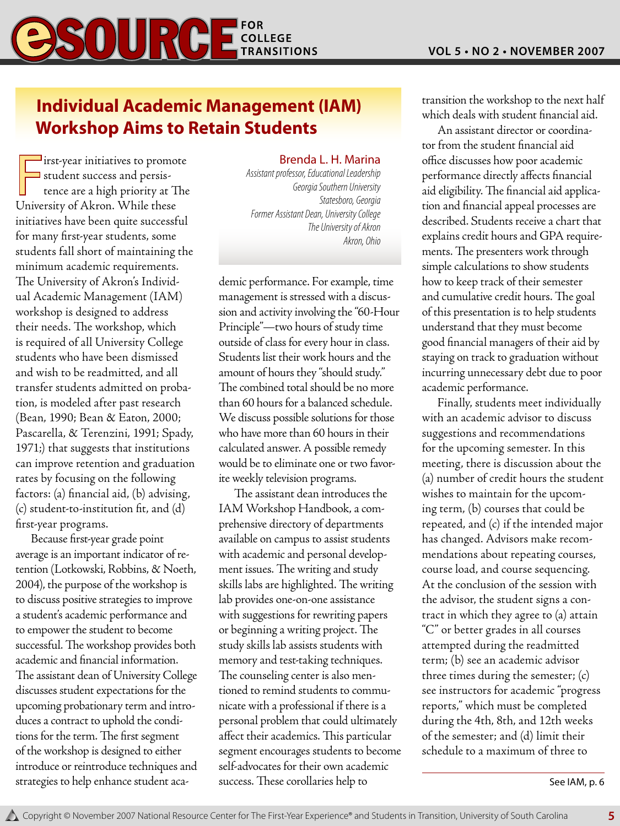

## **Individual Academic Management (IAM) Workshop Aims to Retain Students**

First-year initiatives to promo<br>student success and persis-<br>tence are a high priority at T<br>University of Akron. While these **I** irst-year initiatives to promote student success and persistence are a high priority at The initiatives have been quite successful for many first-year students, some students fall short of maintaining the minimum academic requirements. The University of Akron's Individual Academic Management (IAM) workshop is designed to address their needs. The workshop, which is required of all University College students who have been dismissed and wish to be readmitted, and all transfer students admitted on probation, is modeled after past research (Bean, 1990; Bean & Eaton, 2000; Pascarella, & Terenzini, 1991; Spady, 1971;) that suggests that institutions can improve retention and graduation rates by focusing on the following factors: (a) financial aid, (b) advising, (c) student-to-institution fit, and (d) first-year programs.

Because first-year grade point average is an important indicator of retention (Lotkowski, Robbins, & Noeth, 2004), the purpose of the workshop is to discuss positive strategies to improve a student's academic performance and to empower the student to become successful. The workshop provides both academic and financial information. The assistant dean of University College discusses student expectations for the upcoming probationary term and introduces a contract to uphold the conditions for the term. The first segment of the workshop is designed to either introduce or reintroduce techniques and strategies to help enhance student aca-

#### Brenda L. H. Marina

*Assistant professor, Educational Leadership Georgia Southern University Statesboro, Georgia Former Assistant Dean, University College The University of Akron Akron, Ohio*

demic performance. For example, time management is stressed with a discussion and activity involving the "60-Hour Principle"—two hours of study time outside of class for every hour in class. Students list their work hours and the amount of hours they "should study." The combined total should be no more than 60 hours for a balanced schedule. We discuss possible solutions for those who have more than 60 hours in their calculated answer. A possible remedy would be to eliminate one or two favorite weekly television programs.

The assistant dean introduces the IAM Workshop Handbook, a comprehensive directory of departments available on campus to assist students with academic and personal development issues. The writing and study skills labs are highlighted. The writing lab provides one-on-one assistance with suggestions for rewriting papers or beginning a writing project. The study skills lab assists students with memory and test-taking techniques. The counseling center is also mentioned to remind students to communicate with a professional if there is a personal problem that could ultimately affect their academics. This particular segment encourages students to become self-advocates for their own academic success. These corollaries help to

transition the workshop to the next half which deals with student financial aid.

An assistant director or coordinator from the student financial aid office discusses how poor academic performance directly affects financial aid eligibility. The financial aid application and financial appeal processes are described. Students receive a chart that explains credit hours and GPA requirements. The presenters work through simple calculations to show students how to keep track of their semester and cumulative credit hours. The goal of this presentation is to help students understand that they must become good financial managers of their aid by staying on track to graduation without incurring unnecessary debt due to poor academic performance.

Finally, students meet individually with an academic advisor to discuss suggestions and recommendations for the upcoming semester. In this meeting, there is discussion about the (a) number of credit hours the student wishes to maintain for the upcoming term, (b) courses that could be repeated, and (c) if the intended major has changed. Advisors make recommendations about repeating courses, course load, and course sequencing. At the conclusion of the session with the advisor, the student signs a contract in which they agree to (a) attain "C" or better grades in all courses attempted during the readmitted term; (b) see an academic advisor three times during the semester; (c) see instructors for academic "progress reports," which must be completed during the 4th, 8th, and 12th weeks of the semester; and (d) limit their schedule to a maximum of three to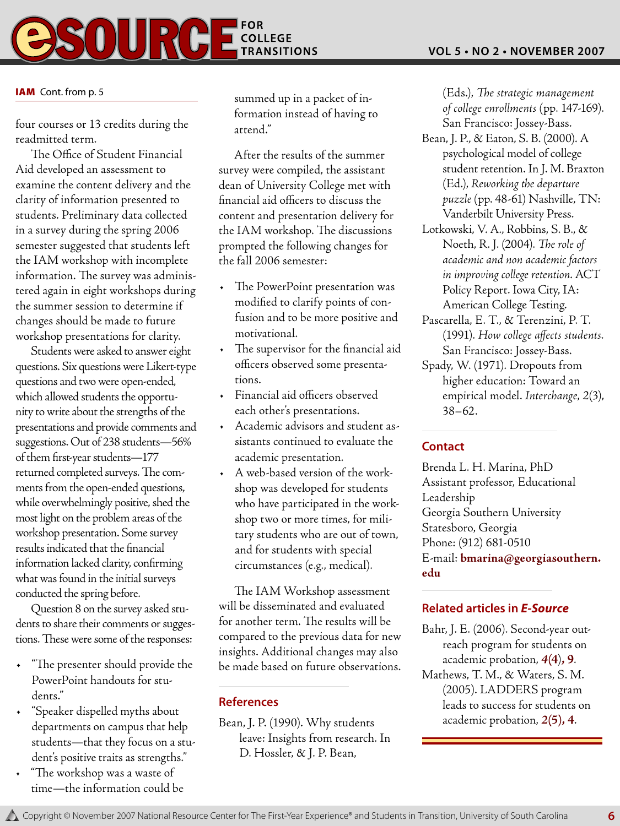

#### IAM Cont. from p. 5

four courses or 13 credits during the readmitted term.

The Office of Student Financial Aid developed an assessment to examine the content delivery and the clarity of information presented to students. Preliminary data collected in a survey during the spring 2006 semester suggested that students left the IAM workshop with incomplete information. The survey was administered again in eight workshops during the summer session to determine if changes should be made to future workshop presentations for clarity.

Students were asked to answer eight questions. Six questions were Likert-type questions and two were open-ended, which allowed students the opportunity to write about the strengths of the presentations and provide comments and suggestions. Out of 238 students—56% of them first-year students—177 returned completed surveys. The comments from the open-ended questions, while overwhelmingly positive, shed the most light on the problem areas of the workshop presentation. Some survey results indicated that the financial information lacked clarity, confirming what was found in the initial surveys conducted the spring before.

Question 8 on the survey asked students to share their comments or suggestions. These were some of the responses:

- • "The presenter should provide the PowerPoint handouts for students."
- • "Speaker dispelled myths about departments on campus that help students—that they focus on a student's positive traits as strengths."
- • "The workshop was a waste of time—the information could be

summed up in a packet of information instead of having to attend."

After the results of the summer survey were compiled, the assistant dean of University College met with financial aid officers to discuss the content and presentation delivery for the IAM workshop. The discussions prompted the following changes for the fall 2006 semester:

- • The PowerPoint presentation was modified to clarify points of confusion and to be more positive and motivational.
- • The supervisor for the financial aid officers observed some presentations.
- • Financial aid officers observed each other's presentations.
- • Academic advisors and student assistants continued to evaluate the academic presentation.
- • A web-based version of the workshop was developed for students who have participated in the workshop two or more times, for military students who are out of town, and for students with special circumstances (e.g., medical).

The IAM Workshop assessment will be disseminated and evaluated for another term. The results will be compared to the previous data for new insights. Additional changes may also be made based on future observations.

#### **References**

Bean, J. P. (1990). Why students leave: Insights from research. In D. Hossler, & J. P. Bean,

(Eds.), *The strategic management of college enrollments* (pp. 147-169). San Francisco: Jossey-Bass.

- Bean, J. P., & Eaton, S. B. (2000). A psychological model of college student retention. In J. M. Braxton (Ed.), *Reworking the departure puzzle* (pp. 48-61) Nashville, TN: Vanderbilt University Press.
- Lotkowski, V. A., Robbins, S. B., & Noeth, R. J. (2004). *The role of academic and non academic factors in improving college retention*. ACT Policy Report. Iowa City, IA: American College Testing.
- Pascarella, E. T., & Terenzini, P. T. (1991). *How college affects students*. San Francisco: Jossey-Bass.
- Spady, W. (1971). Dropouts from higher education: Toward an empirical model. *Interchange*, *2*(3), 38–62.

#### **Contact**

Brenda L. H. Marina, PhD Assistant professor, Educational Leadership Georgia Southern University Statesboro, Georgia Phone: (912) 681-0510 E-mail: **bmarina@georgiasouthern. edu**

#### **Related articles in** *E-Source*

- Bahr, J. E. (2006). Second-year outreach program for students on academic probation, *4***(4**)**, 9**.
- Mathews, T. M., & Waters, S. M. (2005). LADDERS program leads to success for students on academic probation, *2***(5), 4**.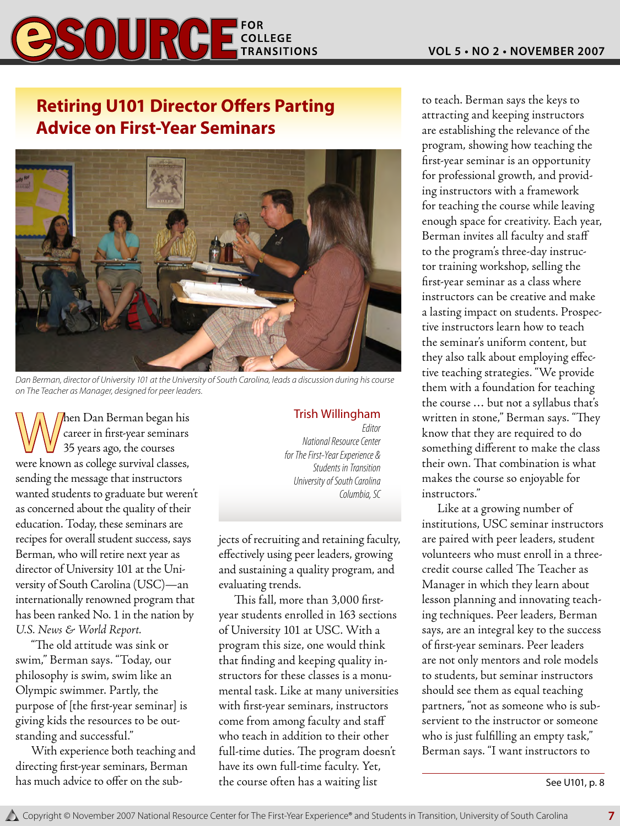## **SOURGE COLLEGE**

## **Retiring U101 Director Offers Parting Advice on First-Year Seminars**



*Dan Berman, director of University 101 at the University of South Carolina, leads a discussion during his course on The Teacher as Manager, designed for peer leaders.*

When Dan Berman began his<br>Career in first-year seminars<br>35 years ago, the courses career in first-year seminars 35 years ago, the courses were known as college survival classes, sending the message that instructors wanted students to graduate but weren't as concerned about the quality of their education. Today, these seminars are recipes for overall student success, says Berman, who will retire next year as director of University 101 at the University of South Carolina (USC)—an internationally renowned program that has been ranked No. 1 in the nation by *U.S. News & World Report.*

"The old attitude was sink or swim," Berman says. "Today, our philosophy is swim, swim like an Olympic swimmer. Partly, the purpose of [the first-year seminar] is giving kids the resources to be outstanding and successful."

With experience both teaching and directing first-year seminars, Berman has much advice to offer on the subTrish Willingham *Editor*

*National Resource Center for The First-Year Experience & Students in Transition University of South Carolina Columbia, SC*

jects of recruiting and retaining faculty, effectively using peer leaders, growing and sustaining a quality program, and evaluating trends.

This fall, more than 3,000 firstyear students enrolled in 163 sections of University 101 at USC. With a program this size, one would think that finding and keeping quality instructors for these classes is a monumental task. Like at many universities with first-year seminars, instructors come from among faculty and staff who teach in addition to their other full-time duties. The program doesn't have its own full-time faculty. Yet, the course often has a waiting list

to teach. Berman says the keys to attracting and keeping instructors are establishing the relevance of the program, showing how teaching the first-year seminar is an opportunity for professional growth, and providing instructors with a framework for teaching the course while leaving enough space for creativity. Each year, Berman invites all faculty and staff to the program's three-day instructor training workshop, selling the first-year seminar as a class where instructors can be creative and make a lasting impact on students. Prospective instructors learn how to teach the seminar's uniform content, but they also talk about employing effective teaching strategies. "We provide them with a foundation for teaching the course … but not a syllabus that's written in stone," Berman says. "They know that they are required to do something different to make the class their own. That combination is what makes the course so enjoyable for instructors."

Like at a growing number of institutions, USC seminar instructors are paired with peer leaders, student volunteers who must enroll in a threecredit course called The Teacher as Manager in which they learn about lesson planning and innovating teaching techniques. Peer leaders, Berman says, are an integral key to the success of first-year seminars. Peer leaders are not only mentors and role models to students, but seminar instructors should see them as equal teaching partners, "not as someone who is subservient to the instructor or someone who is just fulfilling an empty task," Berman says. "I want instructors to

See U101, p. 8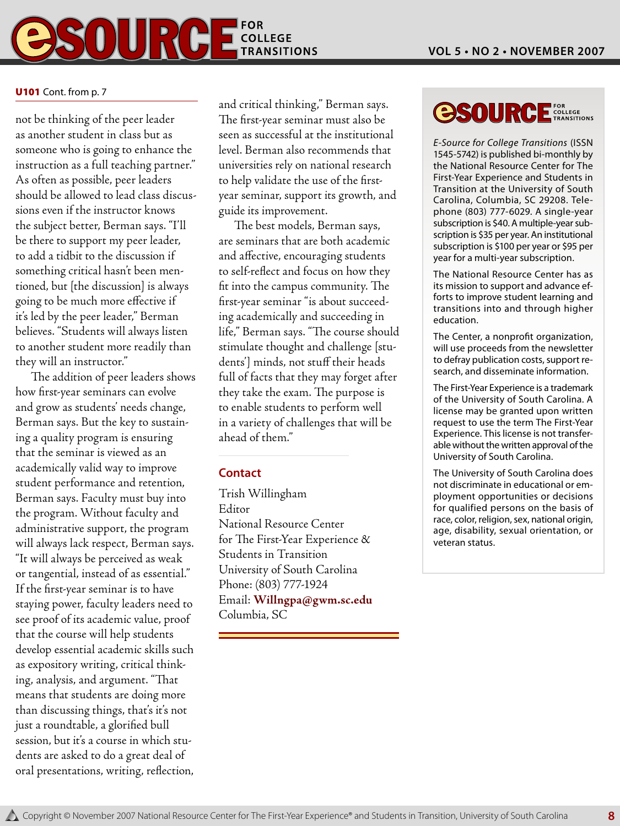

#### U101 Cont. from p. 7

not be thinking of the peer leader as another student in class but as someone who is going to enhance the instruction as a full teaching partner." As often as possible, peer leaders should be allowed to lead class discussions even if the instructor knows the subject better, Berman says. "I'll be there to support my peer leader, to add a tidbit to the discussion if something critical hasn't been mentioned, but [the discussion] is always going to be much more effective if it's led by the peer leader," Berman believes. "Students will always listen to another student more readily than they will an instructor."

The addition of peer leaders shows how first-year seminars can evolve and grow as students' needs change, Berman says. But the key to sustaining a quality program is ensuring that the seminar is viewed as an academically valid way to improve student performance and retention, Berman says. Faculty must buy into the program. Without faculty and administrative support, the program will always lack respect, Berman says. "It will always be perceived as weak or tangential, instead of as essential." If the first-year seminar is to have staying power, faculty leaders need to see proof of its academic value, proof that the course will help students develop essential academic skills such as expository writing, critical thinking, analysis, and argument. "That means that students are doing more than discussing things, that's it's not just a roundtable, a glorified bull session, but it's a course in which students are asked to do a great deal of oral presentations, writing, reflection,

and critical thinking," Berman says. The first-year seminar must also be seen as successful at the institutional level. Berman also recommends that universities rely on national research to help validate the use of the firstyear seminar, support its growth, and guide its improvement.

The best models, Berman says, are seminars that are both academic and affective, encouraging students to self-reflect and focus on how they fit into the campus community. The first-year seminar "is about succeeding academically and succeeding in life," Berman says. "The course should stimulate thought and challenge [students'] minds, not stuff their heads full of facts that they may forget after they take the exam. The purpose is to enable students to perform well in a variety of challenges that will be ahead of them."

#### **Contact**

Trish Willingham Editor National Resource Center for The First-Year Experience & Students in Transition University of South Carolina Phone: (803) 777-1924 Email: **Willngpa@gwm.sc.edu** Columbia, SC

## **OSOURCE** FOR COLLEGE

*E-Source for College Transitions* (ISSN 1545-5742) is published bi-monthly by the National Resource Center for The First-Year Experience and Students in Transition at the University of South Carolina, Columbia, SC 29208. Telephone (803) 777-6029. A single-year subscription is \$40. A multiple-year subscription is \$35 per year. An institutional subscription is \$100 per year or \$95 per year for a multi-year subscription.

The National Resource Center has as its mission to support and advance efforts to improve student learning and transitions into and through higher education.

The Center, a nonprofit organization, will use proceeds from the newsletter to defray publication costs, support research, and disseminate information.

The First-Year Experience is a trademark of the University of South Carolina. A license may be granted upon written request to use the term The First-Year Experience. This license is not transferable without the written approval of the University of South Carolina.

The University of South Carolina does not discriminate in educational or employment opportunities or decisions for qualified persons on the basis of race, color, religion, sex, national origin, age, disability, sexual orientation, or veteran status.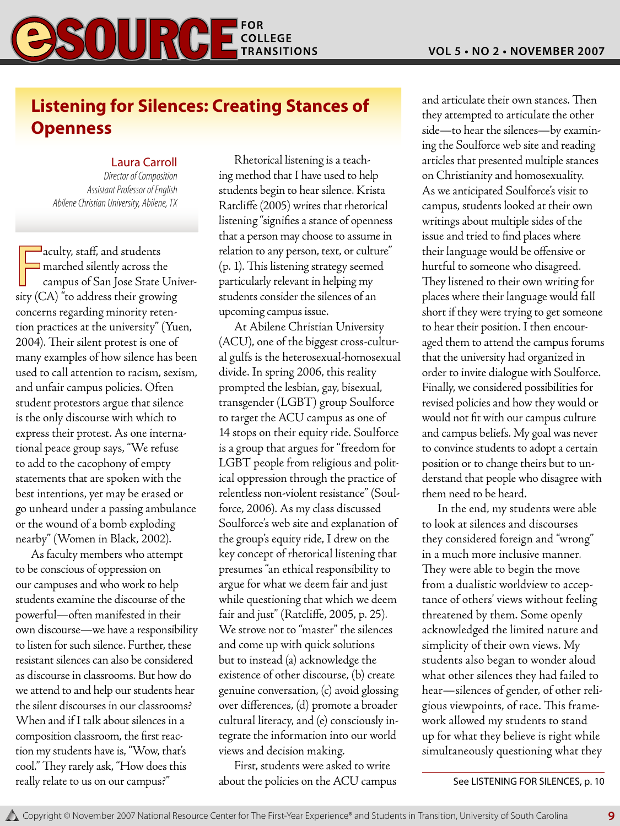

## **Listening for Silences: Creating Stances of Openness**

#### Laura Carroll

*Director of Composition Assistant Professor of English Abilene Christian University, Abilene, TX* 

 $\sqrt{\frac{1}{1-\epsilon^2}}$  $\sqsupset$ aculty, staff, and students  $\Box$  marched silently across the campus of San Jose State University (CA) "to address their growing concerns regarding minority retention practices at the university" (Yuen, 2004). Their silent protest is one of many examples of how silence has been used to call attention to racism, sexism, and unfair campus policies. Often student protestors argue that silence is the only discourse with which to express their protest. As one international peace group says, "We refuse to add to the cacophony of empty statements that are spoken with the best intentions, yet may be erased or go unheard under a passing ambulance or the wound of a bomb exploding nearby" (Women in Black, 2002).

As faculty members who attempt to be conscious of oppression on our campuses and who work to help students examine the discourse of the powerful—often manifested in their own discourse—we have a responsibility to listen for such silence. Further, these resistant silences can also be considered as discourse in classrooms. But how do we attend to and help our students hear the silent discourses in our classrooms? When and if I talk about silences in a composition classroom, the first reaction my students have is, "Wow, that's cool." They rarely ask, "How does this really relate to us on our campus?"

Rhetorical listening is a teaching method that I have used to help students begin to hear silence. Krista Ratcliffe (2005) writes that rhetorical listening "signifies a stance of openness that a person may choose to assume in relation to any person, text, or culture" (p. 1). This listening strategy seemed particularly relevant in helping my students consider the silences of an upcoming campus issue.

At Abilene Christian University (ACU), one of the biggest cross-cultural gulfs is the heterosexual-homosexual divide. In spring 2006, this reality prompted the lesbian, gay, bisexual, transgender (LGBT) group Soulforce to target the ACU campus as one of 14 stops on their equity ride. Soulforce is a group that argues for "freedom for LGBT people from religious and political oppression through the practice of relentless non-violent resistance" (Soulforce, 2006). As my class discussed Soulforce's web site and explanation of the group's equity ride, I drew on the key concept of rhetorical listening that presumes "an ethical responsibility to argue for what we deem fair and just while questioning that which we deem fair and just" (Ratcliffe, 2005, p. 25). We strove not to "master" the silences and come up with quick solutions but to instead (a) acknowledge the existence of other discourse, (b) create genuine conversation, (c) avoid glossing over differences, (d) promote a broader cultural literacy, and (e) consciously integrate the information into our world views and decision making.

First, students were asked to write about the policies on the ACU campus and articulate their own stances. Then they attempted to articulate the other side—to hear the silences—by examining the Soulforce web site and reading articles that presented multiple stances on Christianity and homosexuality. As we anticipated Soulforce's visit to campus, students looked at their own writings about multiple sides of the issue and tried to find places where their language would be offensive or hurtful to someone who disagreed. They listened to their own writing for places where their language would fall short if they were trying to get someone to hear their position. I then encouraged them to attend the campus forums that the university had organized in order to invite dialogue with Soulforce. Finally, we considered possibilities for revised policies and how they would or would not fit with our campus culture and campus beliefs. My goal was never to convince students to adopt a certain position or to change theirs but to understand that people who disagree with them need to be heard.

In the end, my students were able to look at silences and discourses they considered foreign and "wrong" in a much more inclusive manner. They were able to begin the move from a dualistic worldview to acceptance of others' views without feeling threatened by them. Some openly acknowledged the limited nature and simplicity of their own views. My students also began to wonder aloud what other silences they had failed to hear—silences of gender, of other religious viewpoints, of race. This framework allowed my students to stand up for what they believe is right while simultaneously questioning what they

See LISTENING FOR SILENCES, p. 10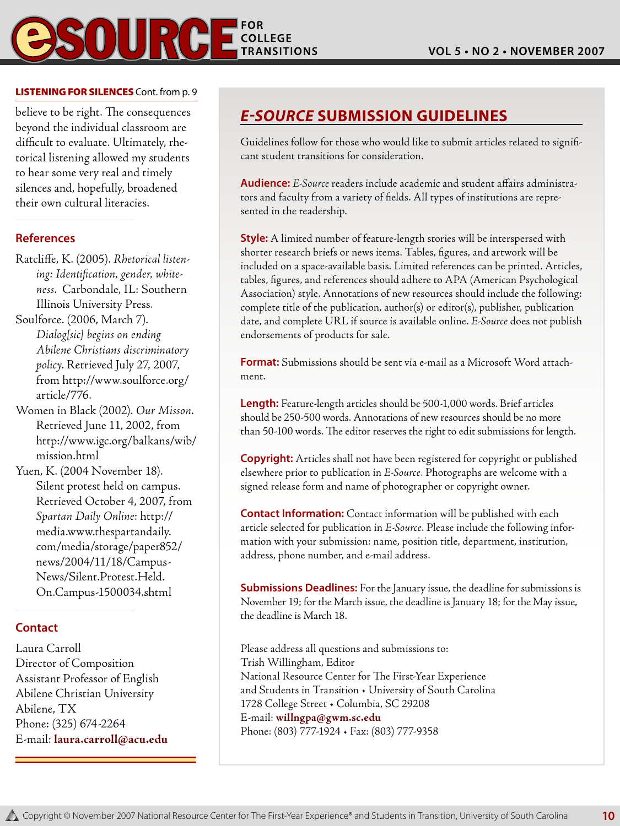#### LISTENING FOR SILENCES Cont. from p. 9

believe to be right. The consequences beyond the individual classroom are difficult to evaluate. Ultimately, rhetorical listening allowed my students to hear some very real and timely silences and, hopefully, broadened their own cultural literacies.

#### **References**

- Ratcliffe, K. (2005). *Rhetorical listening: Identification, gender, whiteness*. Carbondale, IL: Southern Illinois University Press.
- Soulforce. (2006, March 7). *Dialog[sic] begins on ending Abilene Christians discriminatory policy*. Retrieved July 27, 2007, from http://www.soulforce.org/ article/776.
- Women in Black (2002). *Our Misson*. Retrieved June 11, 2002, from http://www.igc.org/balkans/wib/ mission.html
- Yuen, K. (2004 November 18). Silent protest held on campus. Retrieved October 4, 2007, from *Spartan Daily Online*: http:// media.www.thespartandaily. com/media/storage/paper852/ news/2004/11/18/Campus-News/Silent.Protest.Held. On.Campus-1500034.shtml

#### **Contact**

Laura Carroll Director of Composition Assistant Professor of English Abilene Christian University Abilene, TX Phone: (325) 674-2264 E-mail: **laura.carroll@acu.edu**

## *E-Source* **Submission Guidelines**

Guidelines follow for those who would like to submit articles related to significant student transitions for consideration.

**Audience:** *E-Source* readers include academic and student affairs administrators and faculty from a variety of fields. All types of institutions are represented in the readership.

**Style:** A limited number of feature-length stories will be interspersed with shorter research briefs or news items. Tables, figures, and artwork will be included on a space-available basis. Limited references can be printed. Articles, tables, figures, and references should adhere to APA (American Psychological Association) style. Annotations of new resources should include the following: complete title of the publication, author(s) or editor(s), publisher, publication date, and complete URL if source is available online. *E-Source* does not publish endorsements of products for sale.

**Format:** Submissions should be sent via e-mail as a Microsoft Word attachment.

**Length:** Feature-length articles should be 500-1,000 words. Brief articles should be 250-500 words. Annotations of new resources should be no more than 50-100 words. The editor reserves the right to edit submissions for length.

**Copyright:** Articles shall not have been registered for copyright or published elsewhere prior to publication in *E-Source*. Photographs are welcome with a signed release form and name of photographer or copyright owner.

**Contact Information:** Contact information will be published with each article selected for publication in *E-Source*. Please include the following information with your submission: name, position title, department, institution, address, phone number, and e-mail address.

**Submissions Deadlines:** For the January issue, the deadline for submissions is November 19; for the March issue, the deadline is January 18; for the May issue, the deadline is March 18.

**10**

Please address all questions and submissions to: Trish Willingham, Editor National Resource Center for The First-Year Experience and Students in Transition • University of South Carolina 1728 College Street • Columbia, SC 29208 E-mail: **willngpa@gwm.sc.edu** Phone: (803) 777-1924 • Fax: (803) 777-9358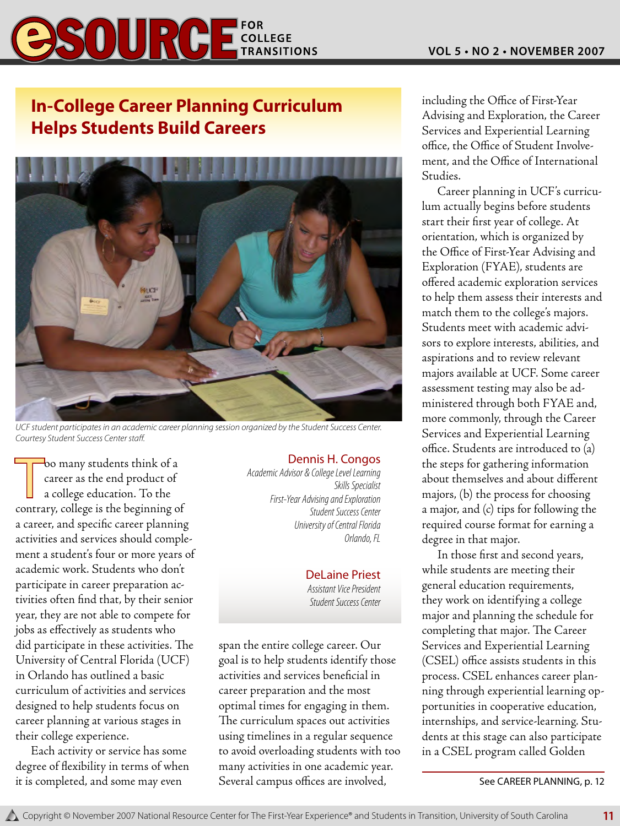

## **In-College Career Planning Curriculum Helps Students Build Careers**



*UCF student participates in an academic career planning session organized by the Student Success Center. Courtesy Student Success Center staff.*

oo many students think of a<br>career as the end product of<br>a college education. To the<br>contrary, college is the beginning of oo many students think of a career as the end product of a college education. To the a career, and specific career planning activities and services should complement a student's four or more years of academic work. Students who don't participate in career preparation activities often find that, by their senior year, they are not able to compete for jobs as effectively as students who did participate in these activities. The University of Central Florida (UCF) in Orlando has outlined a basic curriculum of activities and services designed to help students focus on career planning at various stages in their college experience.

Each activity or service has some degree of flexibility in terms of when it is completed, and some may even

#### Dennis H. Congos

*Academic Advisor & College Level Learning Skills Specialist First-Year Advising and Exploration Student Success Center University of Central Florida Orlando, FL*

#### DeLaine Priest *Assistant Vice President Student Success Center*

span the entire college career. Our goal is to help students identify those activities and services beneficial in career preparation and the most optimal times for engaging in them. The curriculum spaces out activities using timelines in a regular sequence to avoid overloading students with too many activities in one academic year. Several campus offices are involved,

including the Office of First-Year Advising and Exploration, the Career Services and Experiential Learning office, the Office of Student Involvement, and the Office of International Studies.

Career planning in UCF's curriculum actually begins before students start their first year of college. At orientation, which is organized by the Office of First-Year Advising and Exploration (FYAE), students are offered academic exploration services to help them assess their interests and match them to the college's majors. Students meet with academic advisors to explore interests, abilities, and aspirations and to review relevant majors available at UCF. Some career assessment testing may also be administered through both FYAE and, more commonly, through the Career Services and Experiential Learning office. Students are introduced to (a) the steps for gathering information about themselves and about different majors, (b) the process for choosing a major, and (c) tips for following the required course format for earning a degree in that major.

In those first and second years, while students are meeting their general education requirements, they work on identifying a college major and planning the schedule for completing that major. The Career Services and Experiential Learning (CSEL) office assists students in this process. CSEL enhances career planning through experiential learning opportunities in cooperative education, internships, and service-learning. Students at this stage can also participate in a CSEL program called Golden

See CAREER PLANNING, p. 12

**11**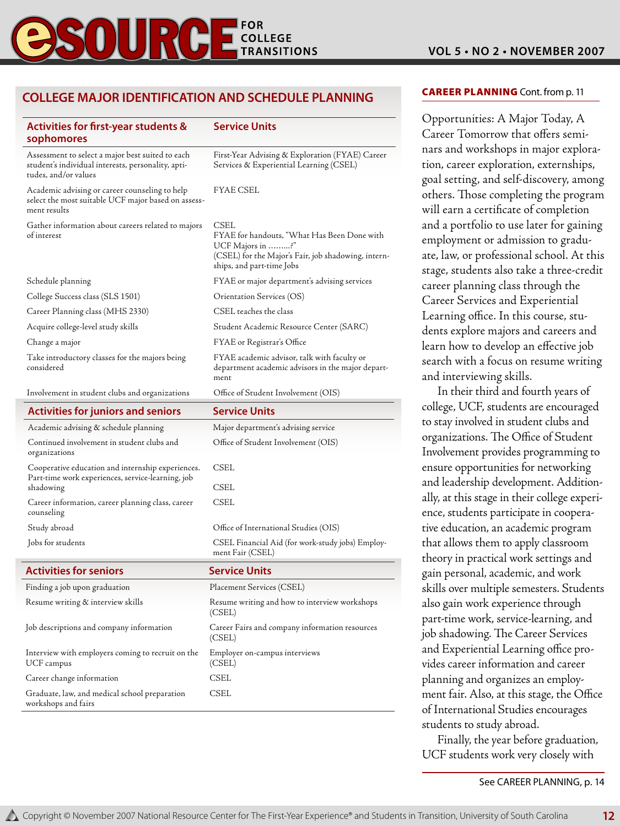## **COLLEGE TRANSITIONS**

#### **College Major Identification and Schedule Planning**

| <b>Activities for first-year students &amp;</b><br>sophomores                                                                  | Service Units                                                                                                                                               |
|--------------------------------------------------------------------------------------------------------------------------------|-------------------------------------------------------------------------------------------------------------------------------------------------------------|
| Assessment to select a major best suited to each<br>student's individual interests, personality, apti-<br>tudes, and/or values | First-Year Advising & Exploration (FYAE) Career<br>Services & Experiential Learning (CSEL)                                                                  |
| Academic advising or career counseling to help<br>select the most suitable UCF major based on assess-<br>ment results          | FYAE CSEL                                                                                                                                                   |
| Gather information about careers related to majors<br>of interest                                                              | CSEL<br>FYAE for handouts, "What Has Been Done with<br>UCF Majors in ?"<br>(CSEL) for the Major's Fair, job shadowing, intern-<br>ships, and part-time Jobs |
| Schedule planning                                                                                                              | FYAE or major department's advising services                                                                                                                |
| College Success class (SLS 1501)                                                                                               | Orientation Services (OS)                                                                                                                                   |
| Career Planning class (MHS 2330)                                                                                               | CSEL teaches the class                                                                                                                                      |
| Acquire college-level study skills                                                                                             | Student Academic Resource Center (SARC)                                                                                                                     |
| Change a major                                                                                                                 | FYAE or Registrar's Office                                                                                                                                  |
| Take introductory classes for the majors being<br>considered                                                                   | FYAE academic advisor, talk with faculty or<br>department academic advisors in the major depart-<br>ment                                                    |
| Involvement in student clubs and organizations                                                                                 | Office of Student Involvement (OIS)                                                                                                                         |
| <b>Activities for juniors and seniors</b>                                                                                      | <b>Service Units</b>                                                                                                                                        |
| Academic advising & schedule planning                                                                                          | Major department's advising service                                                                                                                         |
| Continued involvement in student clubs and<br>organizations                                                                    | Office of Student Involvement (OIS)                                                                                                                         |
| Cooperative education and internship experiences.<br>Part-time work experiences, service-learning, job<br>shadowing            | CSEL<br>CSEL                                                                                                                                                |
| Career information, career planning class, career<br>counseling                                                                | CSEL                                                                                                                                                        |
| Study abroad                                                                                                                   | Office of International Studies (OIS)                                                                                                                       |
| Jobs for students                                                                                                              | CSEL Financial Aid (for work-study jobs) Employ-<br>ment Fair (CSEL)                                                                                        |
| <b>Activities for seniors</b>                                                                                                  | Service Units                                                                                                                                               |
| Finding a job upon graduation                                                                                                  | Placement Services (CSEL)                                                                                                                                   |
| Resume writing & interview skills                                                                                              | Resume writing and how to interview workshops<br>(CSEL)                                                                                                     |
| Job descriptions and company information                                                                                       | Career Fairs and company information resources<br>(CSEL)                                                                                                    |
| Interview with employers coming to recruit on the<br>UCF campus                                                                | Employer on-campus interviews<br>(CSEL)                                                                                                                     |
| Career change information                                                                                                      | CSEL                                                                                                                                                        |
| Graduate, law, and medical school preparation<br>workshops and fairs                                                           | CSEL                                                                                                                                                        |

#### **CAREER PLANNING** Cont. from p. 11

Opportunities: A Major Today, A Career Tomorrow that offers seminars and workshops in major exploration, career exploration, externships, goal setting, and self-discovery, among others. Those completing the program will earn a certificate of completion and a portfolio to use later for gaining employment or admission to graduate, law, or professional school. At this stage, students also take a three-credit career planning class through the Career Services and Experiential Learning office. In this course, students explore majors and careers and learn how to develop an effective job search with a focus on resume writing and interviewing skills.

In their third and fourth years of college, UCF, students are encouraged to stay involved in student clubs and organizations. The Office of Student Involvement provides programming to ensure opportunities for networking and leadership development. Additionally, at this stage in their college experience, students participate in cooperative education, an academic program that allows them to apply classroom theory in practical work settings and gain personal, academic, and work skills over multiple semesters. Students also gain work experience through part-time work, service-learning, and job shadowing. The Career Services and Experiential Learning office provides career information and career planning and organizes an employment fair. Also, at this stage, the Office of International Studies encourages students to study abroad.

Finally, the year before graduation, UCF students work very closely with

See CAREER PLANNING, p. 14

**12**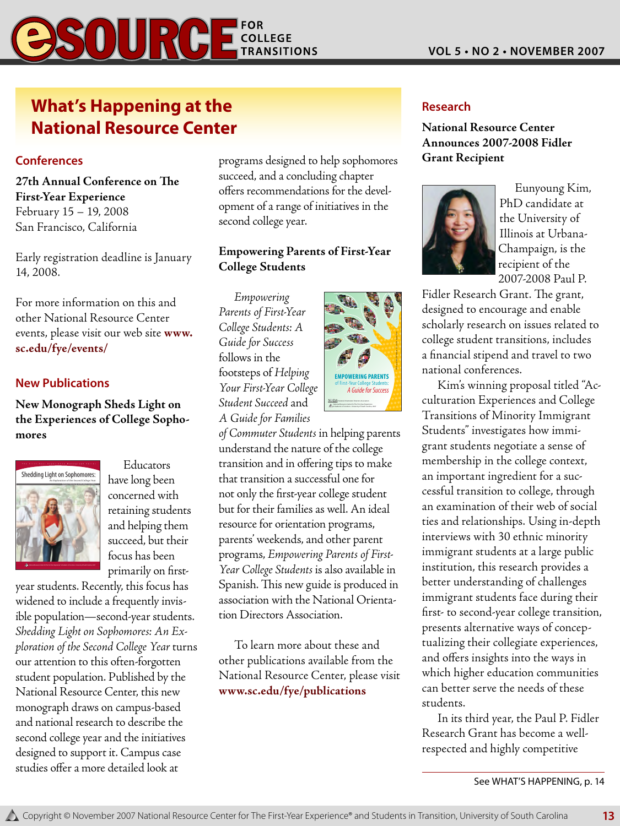# $\mathcal{S}$   $\mathbf{0}$   $\mathbf{U}$   $\mathbf{R}$   $\mathbf{G}$   $\mathbf{F}_{\text{max}}^{\text{cor.} \text{R}}$

## **What's Happening at the National Resource Center**

#### **Conferences**

**27th Annual Conference on The First-Year Experience** February 15 – 19, 2008 San Francisco, California

Early registration deadline is January 14, 2008.

For more information on this and other National Resource Center events, please visit our web site **www. sc.edu/fye/events/**

#### **New Publications**

**New Monograph Sheds Light on the Experiences of College Sophomores**



Educators have long been concerned with retaining students and helping them succeed, but their focus has been primarily on first-

year students. Recently, this focus has widened to include a frequently invisible population—second-year students. *Shedding Light on Sophomores: An Exploration of the Second College Year* turns our attention to this often-forgotten student population. Published by the National Resource Center, this new monograph draws on campus-based and national research to describe the second college year and the initiatives designed to support it. Campus case studies offer a more detailed look at

programs designed to help sophomores succeed, and a concluding chapter offers recommendations for the development of a range of initiatives in the second college year.

#### **Empowering Parents of First-Year College Students**

*Empowering*  Parents of First-Year College Students: A Guide for Success  $\frac{1}{2}$  follows in the footsteps of Helping Your First-Year College *Student Succeed* and *A Guide for Families* 



*of Commuter Students* in helping parents understand the nature of the college transition and in offering tips to make that transition a successful one for not only the first-year college student but for their families as well. An ideal resource for orientation programs, parents' weekends, and other parent programs, *Empowering Parents of First-Year College Students* is also available in Spanish. This new guide is produced in association with the National Orientation Directors Association.

To learn more about these and other publications available from the National Resource Center, please visit **www.sc.edu/fye/publications**

#### **Research**

**National Resource Center Announces 2007-2008 Fidler Grant Recipient**



Eunyoung Kim, PhD candidate at the University of Illinois at Urbana-Champaign, is the recipient of the 2007-2008 Paul P.

Fidler Research Grant. The grant, designed to encourage and enable scholarly research on issues related to college student transitions, includes a financial stipend and travel to two national conferences.

Kim's winning proposal titled "Acculturation Experiences and College Transitions of Minority Immigrant Students" investigates how immigrant students negotiate a sense of membership in the college context, an important ingredient for a successful transition to college, through an examination of their web of social ties and relationships. Using in-depth interviews with 30 ethnic minority immigrant students at a large public institution, this research provides a better understanding of challenges immigrant students face during their first- to second-year college transition, presents alternative ways of conceptualizing their collegiate experiences, and offers insights into the ways in which higher education communities can better serve the needs of these students.

In its third year, the Paul P. Fidler Research Grant has become a wellrespected and highly competitive

See WHAT'S HAPPENING, p. 14